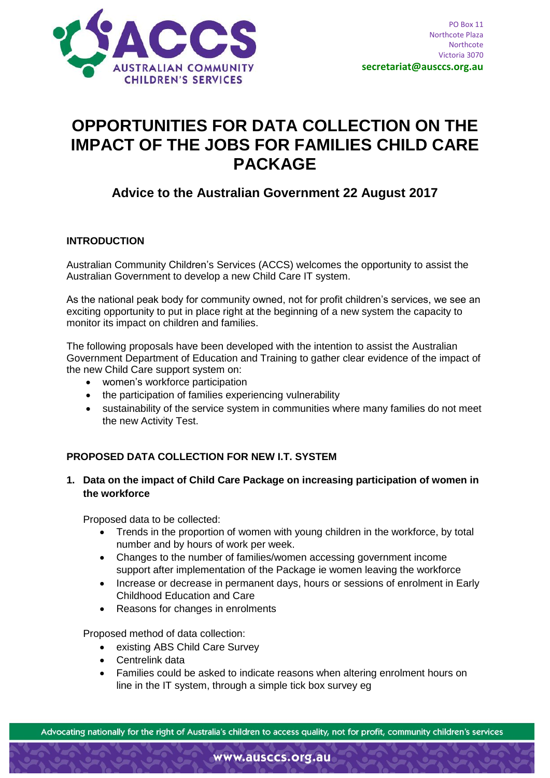

# **OPPORTUNITIES FOR DATA COLLECTION ON THE IMPACT OF THE JOBS FOR FAMILIES CHILD CARE PACKAGE**

## **Advice to the Australian Government 22 August 2017**

#### **INTRODUCTION**

Australian Community Children's Services (ACCS) welcomes the opportunity to assist the Australian Government to develop a new Child Care IT system.

As the national peak body for community owned, not for profit children's services, we see an exciting opportunity to put in place right at the beginning of a new system the capacity to monitor its impact on children and families.

The following proposals have been developed with the intention to assist the Australian Government Department of Education and Training to gather clear evidence of the impact of the new Child Care support system on:

- women's workforce participation
- the participation of families experiencing vulnerability
- sustainability of the service system in communities where many families do not meet the new Activity Test.

#### **PROPOSED DATA COLLECTION FOR NEW I.T. SYSTEM**

#### **1. Data on the impact of Child Care Package on increasing participation of women in the workforce**

Proposed data to be collected:

- Trends in the proportion of women with young children in the workforce, by total number and by hours of work per week.
- Changes to the number of families/women accessing government income support after implementation of the Package ie women leaving the workforce
- Increase or decrease in permanent days, hours or sessions of enrolment in Early Childhood Education and Care
- Reasons for changes in enrolments

Proposed method of data collection:

- existing ABS Child Care Survey
- Centrelink data
- Families could be asked to indicate reasons when altering enrolment hours on line in the IT system, through a simple tick box survey eg

Advocating nationally for the right of Australia's children to access quality, not for profit, community children's services